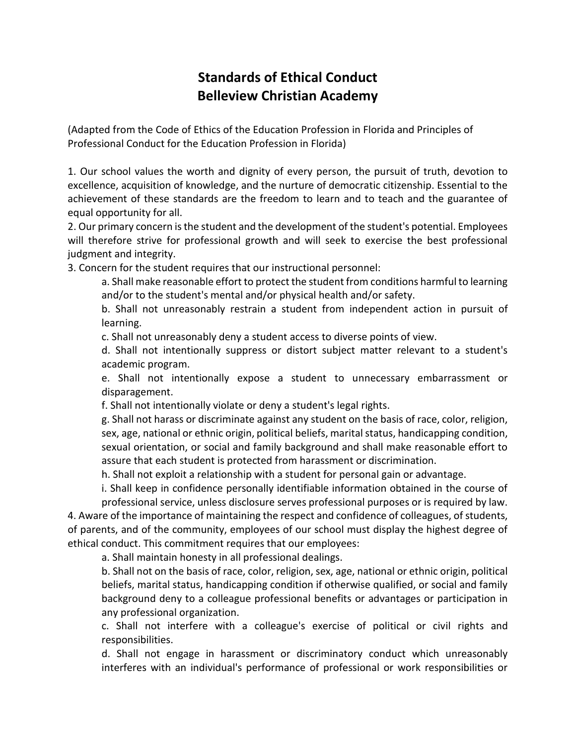## **Standards of Ethical Conduct Belleview Christian Academy**

(Adapted from the Code of Ethics of the Education Profession in Florida and Principles of Professional Conduct for the Education Profession in Florida)

1. Our school values the worth and dignity of every person, the pursuit of truth, devotion to excellence, acquisition of knowledge, and the nurture of democratic citizenship. Essential to the achievement of these standards are the freedom to learn and to teach and the guarantee of equal opportunity for all.

2. Our primary concern is the student and the development of the student's potential. Employees will therefore strive for professional growth and will seek to exercise the best professional judgment and integrity.

3. Concern for the student requires that our instructional personnel:

a. Shall make reasonable effort to protect the student from conditions harmful to learning and/or to the student's mental and/or physical health and/or safety.

b. Shall not unreasonably restrain a student from independent action in pursuit of learning.

c. Shall not unreasonably deny a student access to diverse points of view.

d. Shall not intentionally suppress or distort subject matter relevant to a student's academic program.

e. Shall not intentionally expose a student to unnecessary embarrassment or disparagement.

f. Shall not intentionally violate or deny a student's legal rights.

g. Shall not harass or discriminate against any student on the basis of race, color, religion, sex, age, national or ethnic origin, political beliefs, marital status, handicapping condition, sexual orientation, or social and family background and shall make reasonable effort to assure that each student is protected from harassment or discrimination.

h. Shall not exploit a relationship with a student for personal gain or advantage.

i. Shall keep in confidence personally identifiable information obtained in the course of professional service, unless disclosure serves professional purposes or is required by law.

4. Aware of the importance of maintaining the respect and confidence of colleagues, of students, of parents, and of the community, employees of our school must display the highest degree of ethical conduct. This commitment requires that our employees:

a. Shall maintain honesty in all professional dealings.

b. Shall not on the basis of race, color, religion, sex, age, national or ethnic origin, political beliefs, marital status, handicapping condition if otherwise qualified, or social and family background deny to a colleague professional benefits or advantages or participation in any professional organization.

c. Shall not interfere with a colleague's exercise of political or civil rights and responsibilities.

d. Shall not engage in harassment or discriminatory conduct which unreasonably interferes with an individual's performance of professional or work responsibilities or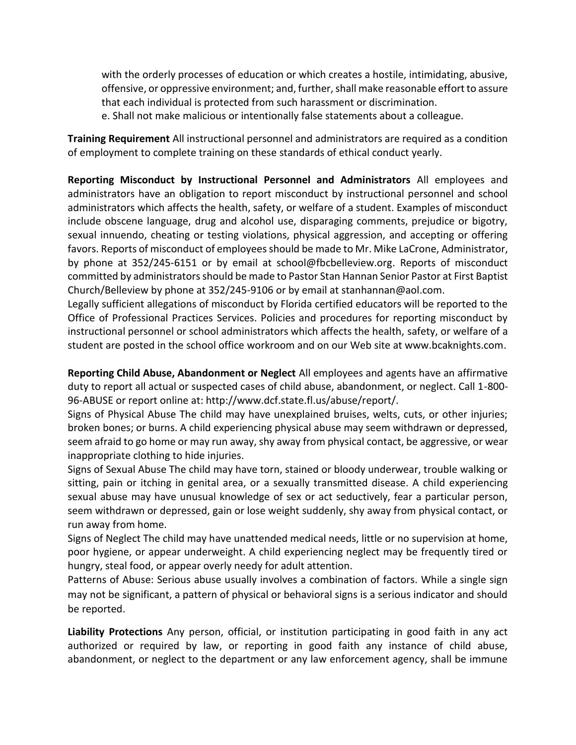with the orderly processes of education or which creates a hostile, intimidating, abusive, offensive, or oppressive environment; and, further, shall make reasonable effort to assure that each individual is protected from such harassment or discrimination.

e. Shall not make malicious or intentionally false statements about a colleague.

**Training Requirement** All instructional personnel and administrators are required as a condition of employment to complete training on these standards of ethical conduct yearly.

**Reporting Misconduct by Instructional Personnel and Administrators** All employees and administrators have an obligation to report misconduct by instructional personnel and school administrators which affects the health, safety, or welfare of a student. Examples of misconduct include obscene language, drug and alcohol use, disparaging comments, prejudice or bigotry, sexual innuendo, cheating or testing violations, physical aggression, and accepting or offering favors. Reports of misconduct of employees should be made to Mr. Mike LaCrone, Administrator, by phone at 352/245-6151 or by email at school@fbcbelleview.org. Reports of misconduct committed by administrators should be made to Pastor Stan Hannan Senior Pastor at First Baptist Church/Belleview by phone at 352/245-9106 or by email at stanhannan@aol.com.

Legally sufficient allegations of misconduct by Florida certified educators will be reported to the Office of Professional Practices Services. Policies and procedures for reporting misconduct by instructional personnel or school administrators which affects the health, safety, or welfare of a student are posted in the school office workroom and on our Web site at www.bcaknights.com.

**Reporting Child Abuse, Abandonment or Neglect** All employees and agents have an affirmative duty to report all actual or suspected cases of child abuse, abandonment, or neglect. Call 1-800- 96-ABUSE or report online at: http://www.dcf.state.fl.us/abuse/report/.

Signs of Physical Abuse The child may have unexplained bruises, welts, cuts, or other injuries; broken bones; or burns. A child experiencing physical abuse may seem withdrawn or depressed, seem afraid to go home or may run away, shy away from physical contact, be aggressive, or wear inappropriate clothing to hide injuries.

Signs of Sexual Abuse The child may have torn, stained or bloody underwear, trouble walking or sitting, pain or itching in genital area, or a sexually transmitted disease. A child experiencing sexual abuse may have unusual knowledge of sex or act seductively, fear a particular person, seem withdrawn or depressed, gain or lose weight suddenly, shy away from physical contact, or run away from home.

Signs of Neglect The child may have unattended medical needs, little or no supervision at home, poor hygiene, or appear underweight. A child experiencing neglect may be frequently tired or hungry, steal food, or appear overly needy for adult attention.

Patterns of Abuse: Serious abuse usually involves a combination of factors. While a single sign may not be significant, a pattern of physical or behavioral signs is a serious indicator and should be reported.

**Liability Protections** Any person, official, or institution participating in good faith in any act authorized or required by law, or reporting in good faith any instance of child abuse, abandonment, or neglect to the department or any law enforcement agency, shall be immune